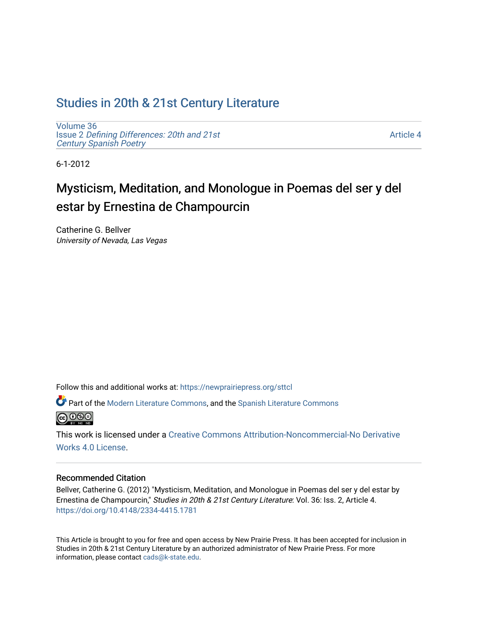## [Studies in 20th & 21st Century Literature](https://newprairiepress.org/sttcl)

[Volume 36](https://newprairiepress.org/sttcl/vol36) Issue 2 [Defining Differences: 20th and 21st](https://newprairiepress.org/sttcl/vol36/iss2) [Century Spanish Poetry](https://newprairiepress.org/sttcl/vol36/iss2) 

[Article 4](https://newprairiepress.org/sttcl/vol36/iss2/4) 

6-1-2012

# Mysticism, Meditation, and Monologue in Poemas del ser y del estar by Ernestina de Champourcin

Catherine G. Bellver University of Nevada, Las Vegas

Follow this and additional works at: [https://newprairiepress.org/sttcl](https://newprairiepress.org/sttcl?utm_source=newprairiepress.org%2Fsttcl%2Fvol36%2Fiss2%2F4&utm_medium=PDF&utm_campaign=PDFCoverPages) 

Part of the [Modern Literature Commons,](http://network.bepress.com/hgg/discipline/1050?utm_source=newprairiepress.org%2Fsttcl%2Fvol36%2Fiss2%2F4&utm_medium=PDF&utm_campaign=PDFCoverPages) and the [Spanish Literature Commons](http://network.bepress.com/hgg/discipline/550?utm_source=newprairiepress.org%2Fsttcl%2Fvol36%2Fiss2%2F4&utm_medium=PDF&utm_campaign=PDFCoverPages)  <u>@ 000</u>

This work is licensed under a [Creative Commons Attribution-Noncommercial-No Derivative](https://creativecommons.org/licenses/by-nc-nd/4.0/)  [Works 4.0 License](https://creativecommons.org/licenses/by-nc-nd/4.0/).

### Recommended Citation

Bellver, Catherine G. (2012) "Mysticism, Meditation, and Monologue in Poemas del ser y del estar by Ernestina de Champourcin," Studies in 20th & 21st Century Literature: Vol. 36: Iss. 2, Article 4. <https://doi.org/10.4148/2334-4415.1781>

This Article is brought to you for free and open access by New Prairie Press. It has been accepted for inclusion in Studies in 20th & 21st Century Literature by an authorized administrator of New Prairie Press. For more information, please contact [cads@k-state.edu](mailto:cads@k-state.edu).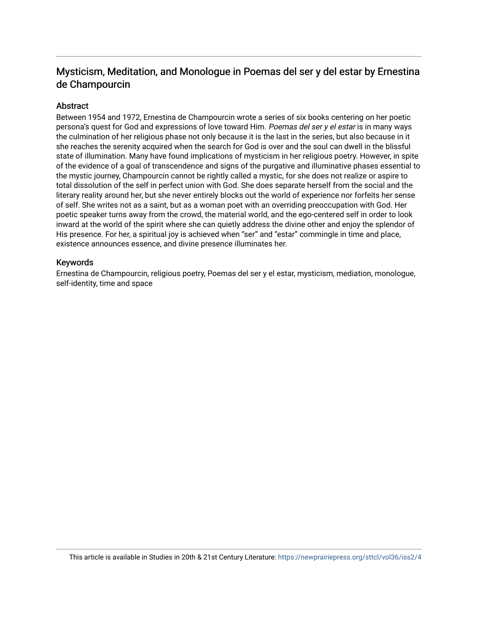## Mysticism, Meditation, and Monologue in Poemas del ser y del estar by Ernestina de Champourcin

## **Abstract**

Between 1954 and 1972, Ernestina de Champourcin wrote a series of six books centering on her poetic persona's quest for God and expressions of love toward Him. Poemas del ser y el estar is in many ways the culmination of her religious phase not only because it is the last in the series, but also because in it she reaches the serenity acquired when the search for God is over and the soul can dwell in the blissful state of illumination. Many have found implications of mysticism in her religious poetry. However, in spite of the evidence of a goal of transcendence and signs of the purgative and illuminative phases essential to the mystic journey, Champourcin cannot be rightly called a mystic, for she does not realize or aspire to total dissolution of the self in perfect union with God. She does separate herself from the social and the literary reality around her, but she never entirely blocks out the world of experience nor forfeits her sense of self. She writes not as a saint, but as a woman poet with an overriding preoccupation with God. Her poetic speaker turns away from the crowd, the material world, and the ego-centered self in order to look inward at the world of the spirit where she can quietly address the divine other and enjoy the splendor of His presence. For her, a spiritual joy is achieved when "ser" and "estar" commingle in time and place, existence announces essence, and divine presence illuminates her.

## Keywords

Ernestina de Champourcin, religious poetry, Poemas del ser y el estar, mysticism, mediation, monologue, self-identity, time and space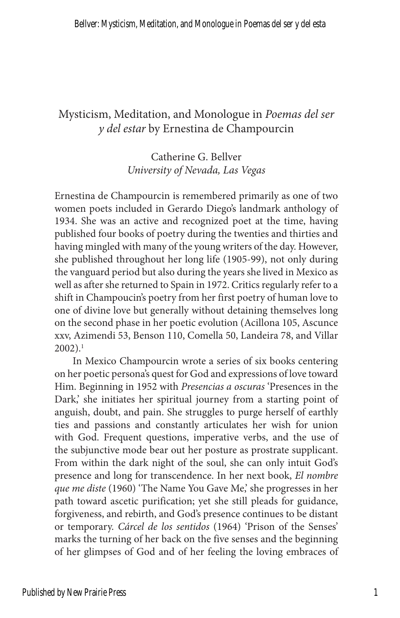## Mysticism, Meditation, and Monologue in *Poemas del ser y del estar* by Ernestina de Champourcin

### Catherine G. Bellver *University of Nevada, Las Vegas*

Ernestina de Champourcin is remembered primarily as one of two women poets included in Gerardo Diego's landmark anthology of 1934. She was an active and recognized poet at the time, having published four books of poetry during the twenties and thirties and having mingled with many of the young writers of the day. However, she published throughout her long life (1905-99), not only during the vanguard period but also during the years she lived in Mexico as well as after she returned to Spain in 1972. Critics regularly refer to a shift in Champoucin's poetry from her first poetry of human love to one of divine love but generally without detaining themselves long on the second phase in her poetic evolution (Acillona 105, Ascunce xxv, Azimendi 53, Benson 110, Comella 50, Landeira 78, and Villar  $2002$ ).<sup>1</sup>

In Mexico Champourcin wrote a series of six books centering on her poetic persona's quest for God and expressions of love toward Him. Beginning in 1952 with *Presencias a oscuras* 'Presences in the Dark,' she initiates her spiritual journey from a starting point of anguish, doubt, and pain. She struggles to purge herself of earthly ties and passions and constantly articulates her wish for union with God. Frequent questions, imperative verbs, and the use of the subjunctive mode bear out her posture as prostrate supplicant. From within the dark night of the soul, she can only intuit God's presence and long for transcendence. In her next book, *El nombre que me diste* (1960) 'The Name You Gave Me,' she progresses in her path toward ascetic purification; yet she still pleads for guidance, forgiveness, and rebirth, and God's presence continues to be distant or temporary. *Cárcel de los sentidos* (1964) 'Prison of the Senses' marks the turning of her back on the five senses and the beginning of her glimpses of God and of her feeling the loving embraces of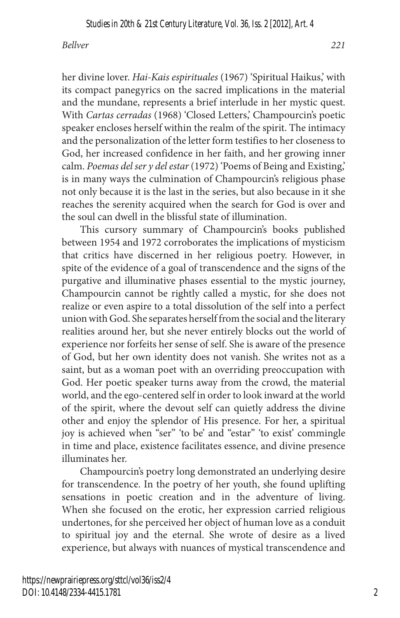her divine lover. *Hai-Kais espirituales* (1967) 'Spiritual Haikus,' with its compact panegyrics on the sacred implications in the material and the mundane, represents a brief interlude in her mystic quest. With *Cartas cerradas* (1968) 'Closed Letters,' Champourcin's poetic speaker encloses herself within the realm of the spirit. The intimacy and the personalization of the letter form testifies to her closeness to God, her increased confidence in her faith, and her growing inner calm. *Poemas del ser y del estar* (1972) 'Poems of Being and Existing,' is in many ways the culmination of Champourcin's religious phase not only because it is the last in the series, but also because in it she reaches the serenity acquired when the search for God is over and the soul can dwell in the blissful state of illumination.

This cursory summary of Champourcin's books published between 1954 and 1972 corroborates the implications of mysticism that critics have discerned in her religious poetry. However, in spite of the evidence of a goal of transcendence and the signs of the purgative and illuminative phases essential to the mystic journey, Champourcin cannot be rightly called a mystic, for she does not realize or even aspire to a total dissolution of the self into a perfect union with God. She separates herself from the social and the literary realities around her, but she never entirely blocks out the world of experience nor forfeits her sense of self. She is aware of the presence of God, but her own identity does not vanish. She writes not as a saint, but as a woman poet with an overriding preoccupation with God. Her poetic speaker turns away from the crowd, the material world, and the ego-centered self in order to look inward at the world of the spirit, where the devout self can quietly address the divine other and enjoy the splendor of His presence. For her, a spiritual joy is achieved when "ser" 'to be' and "estar" 'to exist' commingle in time and place, existence facilitates essence, and divine presence illuminates her.

Champourcin's poetry long demonstrated an underlying desire for transcendence. In the poetry of her youth, she found uplifting sensations in poetic creation and in the adventure of living. When she focused on the erotic, her expression carried religious undertones, for she perceived her object of human love as a conduit to spiritual joy and the eternal. She wrote of desire as a lived experience, but always with nuances of mystical transcendence and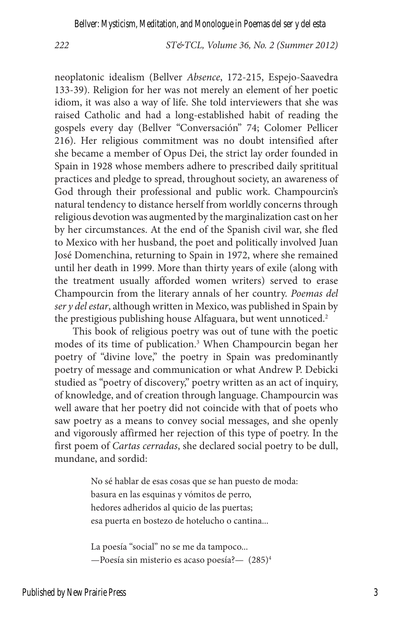neoplatonic idealism (Bellver *Absence*, 172-215, Espejo-Saavedra 133-39). Religion for her was not merely an element of her poetic idiom, it was also a way of life. She told interviewers that she was raised Catholic and had a long-established habit of reading the gospels every day (Bellver "Conversación" 74; Colomer Pellicer 216). Her religious commitment was no doubt intensified after she became a member of Opus Dei, the strict lay order founded in Spain in 1928 whose members adhere to prescribed daily sprititual practices and pledge to spread, throughout society, an awareness of God through their professional and public work. Champourcin's natural tendency to distance herself from worldly concerns through religious devotion was augmented by the marginalization cast on her by her circumstances. At the end of the Spanish civil war, she fled to Mexico with her husband, the poet and politically involved Juan José Domenchina, returning to Spain in 1972, where she remained until her death in 1999. More than thirty years of exile (along with the treatment usually afforded women writers) served to erase Champourcin from the literary annals of her country. *Poemas del ser y del estar*, although written in Mexico, was published in Spain by the prestigious publishing house Alfaguara, but went unnoticed.<sup>2</sup>

This book of religious poetry was out of tune with the poetic modes of its time of publication.3 When Champourcin began her poetry of "divine love," the poetry in Spain was predominantly poetry of message and communication or what Andrew P. Debicki studied as "poetry of discovery," poetry written as an act of inquiry, of knowledge, and of creation through language. Champourcin was well aware that her poetry did not coincide with that of poets who saw poetry as a means to convey social messages, and she openly and vigorously affirmed her rejection of this type of poetry. In the first poem of *Cartas cerradas*, she declared social poetry to be dull, mundane, and sordid:

> No sé hablar de esas cosas que se han puesto de moda: basura en las esquinas y vómitos de perro, hedores adheridos al quicio de las puertas; esa puerta en bostezo de hotelucho o cantina...

La poesía "social" no se me da tampoco... —Poesía sin misterio es acaso poesía?— (285)4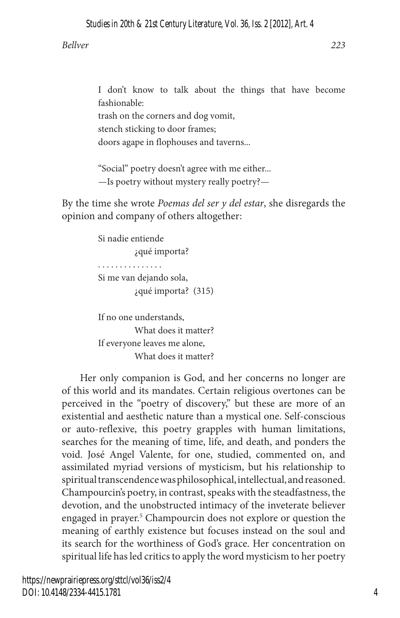I don't know to talk about the things that have become fashionable: trash on the corners and dog vomit, stench sticking to door frames; doors agape in flophouses and taverns...

"Social" poetry doesn't agree with me either... —Is poetry without mystery really poetry?—

By the time she wrote *Poemas del ser y del estar*, she disregards the opinion and company of others altogether:

> Si nadie entiende ¿qué importa? . . . . . . . . . . . . . . . Si me van dejando sola, ¿qué importa? (315)

> If no one understands, What does it matter? If everyone leaves me alone, What does it matter?

Her only companion is God, and her concerns no longer are of this world and its mandates. Certain religious overtones can be perceived in the "poetry of discovery," but these are more of an existential and aesthetic nature than a mystical one. Self-conscious or auto-reflexive, this poetry grapples with human limitations, searches for the meaning of time, life, and death, and ponders the void. José Angel Valente, for one, studied, commented on, and assimilated myriad versions of mysticism, but his relationship to spiritual transcendence was philosophical, intellectual, and reasoned. Champourcin's poetry, in contrast, speaks with the steadfastness, the devotion, and the unobstructed intimacy of the inveterate believer engaged in prayer.<sup>5</sup> Champourcin does not explore or question the meaning of earthly existence but focuses instead on the soul and its search for the worthiness of God's grace. Her concentration on spiritual life has led critics to apply the word mysticism to her poetry

https://newprairiepress.org/sttcl/vol36/iss2/4 DOI: 10.4148/2334-4415.1781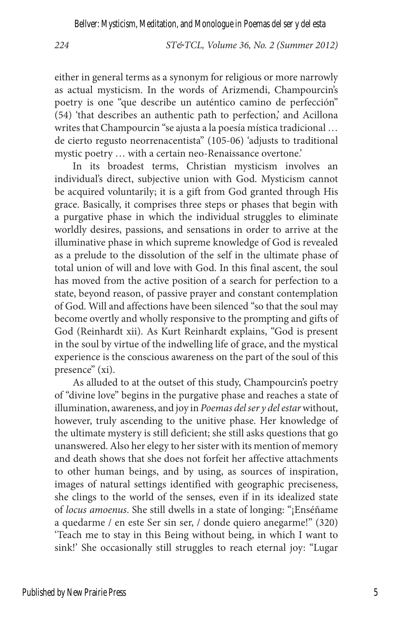either in general terms as a synonym for religious or more narrowly as actual mysticism. In the words of Arizmendi, Champourcin's poetry is one "que describe un auténtico camino de perfección" (54) 'that describes an authentic path to perfection,' and Acillona writes that Champourcin "se ajusta a la poesía mística tradicional … de cierto regusto neorrenacentista" (105-06) 'adjusts to traditional mystic poetry … with a certain neo-Renaissance overtone.'

In its broadest terms, Christian mysticism involves an individual's direct, subjective union with God. Mysticism cannot be acquired voluntarily; it is a gift from God granted through His grace. Basically, it comprises three steps or phases that begin with a purgative phase in which the individual struggles to eliminate worldly desires, passions, and sensations in order to arrive at the illuminative phase in which supreme knowledge of God is revealed as a prelude to the dissolution of the self in the ultimate phase of total union of will and love with God. In this final ascent, the soul has moved from the active position of a search for perfection to a state, beyond reason, of passive prayer and constant contemplation of God. Will and affections have been silenced "so that the soul may become overtly and wholly responsive to the prompting and gifts of God (Reinhardt xii). As Kurt Reinhardt explains, "God is present in the soul by virtue of the indwelling life of grace, and the mystical experience is the conscious awareness on the part of the soul of this presence" (xi).

As alluded to at the outset of this study, Champourcin's poetry of "divine love" begins in the purgative phase and reaches a state of illumination, awareness, and joy in *Poemas del ser y del estar* without, however, truly ascending to the unitive phase. Her knowledge of the ultimate mystery is still deficient; she still asks questions that go unanswered. Also her elegy to her sister with its mention of memory and death shows that she does not forfeit her affective attachments to other human beings, and by using, as sources of inspiration, images of natural settings identified with geographic preciseness, she clings to the world of the senses, even if in its idealized state of *locus amoenus*. She still dwells in a state of longing: "¡Enséñame a quedarme / en este Ser sin ser, / donde quiero anegarme!" (320) 'Teach me to stay in this Being without being, in which I want to sink!' She occasionally still struggles to reach eternal joy: "Lugar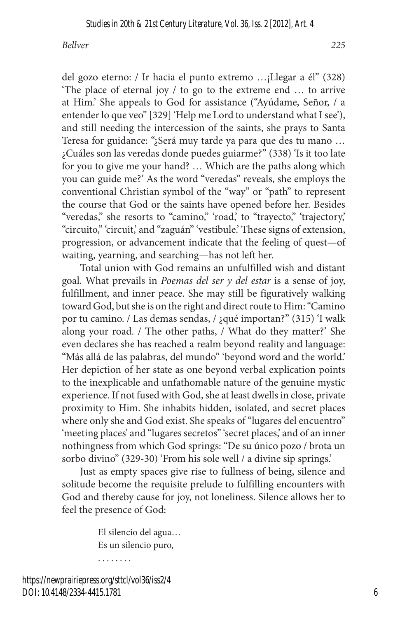del gozo eterno: / Ir hacia el punto extremo …¡Llegar a él" (328) 'The place of eternal joy / to go to the extreme end … to arrive at Him.' She appeals to God for assistance ("Ayúdame, Señor, / a entender lo que veo" [329] 'Help me Lord to understand what I see'), and still needing the intercession of the saints, she prays to Santa Teresa for guidance: "¿Será muy tarde ya para que des tu mano … ¿Cuáles son las veredas donde puedes guiarme?" (338) 'Is it too late for you to give me your hand? … Which are the paths along which you can guide me?' As the word "veredas" reveals, she employs the conventional Christian symbol of the "way" or "path" to represent the course that God or the saints have opened before her. Besides "veredas," she resorts to "camino," 'road,' to "trayecto," 'trajectory,' "circuito," 'circuit,' and "zaguán" 'vestibule.' These signs of extension, progression, or advancement indicate that the feeling of quest—of waiting, yearning, and searching—has not left her.

Total union with God remains an unfulfilled wish and distant goal. What prevails in *Poemas del ser y del estar* is a sense of joy, fulfillment, and inner peace. She may still be figuratively walking toward God, but she is on the right and direct route to Him: "Camino por tu camino. / Las demas sendas, / ¿qué importan?" (315) 'I walk along your road. / The other paths, / What do they matter?' She even declares she has reached a realm beyond reality and language: "Más allá de las palabras, del mundo" 'beyond word and the world.' Her depiction of her state as one beyond verbal explication points to the inexplicable and unfathomable nature of the genuine mystic experience. If not fused with God, she at least dwells in close, private proximity to Him. She inhabits hidden, isolated, and secret places where only she and God exist. She speaks of "lugares del encuentro" 'meeting places' and "lugares secretos" 'secret places,' and of an inner nothingness from which God springs: "De su único pozo / brota un sorbo divino" (329-30) 'From his sole well / a divine sip springs.'

Just as empty spaces give rise to fullness of being, silence and solitude become the requisite prelude to fulfilling encounters with God and thereby cause for joy, not loneliness. Silence allows her to feel the presence of God:

> El silencio del agua… Es un silencio puro,

https://newprairiepress.org/sttcl/vol36/iss2/4 DOI: 10.4148/2334-4415.1781

. . . . . . . .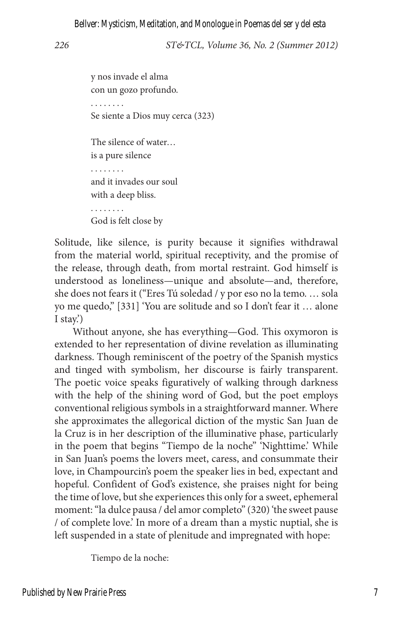y nos invade el alma con un gozo profundo. . . . . . . . . Se siente a Dios muy cerca (323) The silence of water… is a pure silence and it invades our soul with a deep bliss. . . . . . . . . God is felt close by

Solitude, like silence, is purity because it signifies withdrawal from the material world, spiritual receptivity, and the promise of the release, through death, from mortal restraint. God himself is understood as loneliness—unique and absolute—and, therefore, she does not fears it ("Eres Tú soledad / y por eso no la temo. … sola yo me quedo," [331] 'You are solitude and so I don't fear it … alone I stay.')

Without anyone, she has everything—God. This oxymoron is extended to her representation of divine revelation as illuminating darkness. Though reminiscent of the poetry of the Spanish mystics and tinged with symbolism, her discourse is fairly transparent. The poetic voice speaks figuratively of walking through darkness with the help of the shining word of God, but the poet employs conventional religious symbols in a straightforward manner. Where she approximates the allegorical diction of the mystic San Juan de la Cruz is in her description of the illuminative phase, particularly in the poem that begins "Tiempo de la noche" 'Nighttime.' While in San Juan's poems the lovers meet, caress, and consummate their love, in Champourcin's poem the speaker lies in bed, expectant and hopeful. Confident of God's existence, she praises night for being the time of love, but she experiences this only for a sweet, ephemeral moment: "la dulce pausa / del amor completo" (320) 'the sweet pause / of complete love.' In more of a dream than a mystic nuptial, she is left suspended in a state of plenitude and impregnated with hope:

Tiempo de la noche: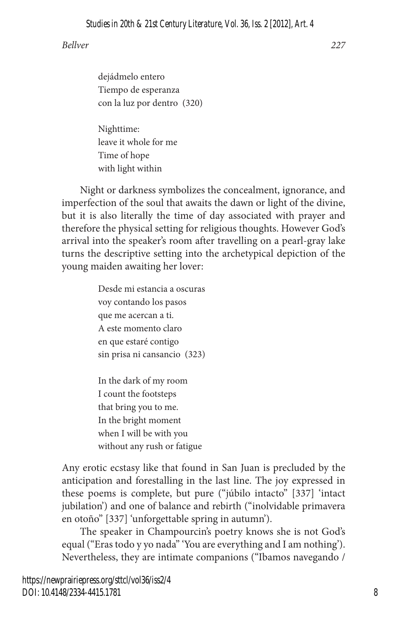dejádmelo entero Tiempo de esperanza con la luz por dentro (320)

Nighttime: leave it whole for me Time of hope with light within

Night or darkness symbolizes the concealment, ignorance, and imperfection of the soul that awaits the dawn or light of the divine, but it is also literally the time of day associated with prayer and therefore the physical setting for religious thoughts. However God's arrival into the speaker's room after travelling on a pearl-gray lake turns the descriptive setting into the archetypical depiction of the young maiden awaiting her lover:

> Desde mi estancia a oscuras voy contando los pasos que me acercan a ti. A este momento claro en que estaré contigo sin prisa ni cansancio (323)

In the dark of my room I count the footsteps that bring you to me. In the bright moment when I will be with you without any rush or fatigue

Any erotic ecstasy like that found in San Juan is precluded by the anticipation and forestalling in the last line. The joy expressed in these poems is complete, but pure ("júbilo intacto" [337] 'intact jubilation') and one of balance and rebirth ("inolvidable primavera en otoño" [337] 'unforgettable spring in autumn').

The speaker in Champourcin's poetry knows she is not God's equal ("Eras todo y yo nada" 'You are everything and I am nothing'). Nevertheless, they are intimate companions ("Ibamos navegando /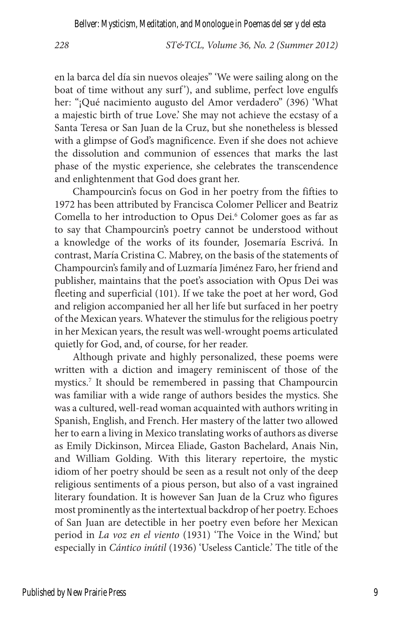en la barca del día sin nuevos oleajes" 'We were sailing along on the boat of time without any surf'), and sublime, perfect love engulfs her: "¡Qué nacimiento augusto del Amor verdadero" (396) 'What a majestic birth of true Love.' She may not achieve the ecstasy of a Santa Teresa or San Juan de la Cruz, but she nonetheless is blessed with a glimpse of God's magnificence. Even if she does not achieve the dissolution and communion of essences that marks the last phase of the mystic experience, she celebrates the transcendence and enlightenment that God does grant her.

Champourcin's focus on God in her poetry from the fifties to 1972 has been attributed by Francisca Colomer Pellicer and Beatriz Comella to her introduction to Opus Dei.6 Colomer goes as far as to say that Champourcin's poetry cannot be understood without a knowledge of the works of its founder, Josemaría Escrivá. In contrast, María Cristina C. Mabrey, on the basis of the statements of Champourcin's family and of Luzmaría Jiménez Faro, her friend and publisher, maintains that the poet's association with Opus Dei was fleeting and superficial (101). If we take the poet at her word, God and religion accompanied her all her life but surfaced in her poetry of the Mexican years. Whatever the stimulus for the religious poetry in her Mexican years, the result was well-wrought poems articulated quietly for God, and, of course, for her reader.

Although private and highly personalized, these poems were written with a diction and imagery reminiscent of those of the mystics.7 It should be remembered in passing that Champourcin was familiar with a wide range of authors besides the mystics. She was a cultured, well-read woman acquainted with authors writing in Spanish, English, and French. Her mastery of the latter two allowed her to earn a living in Mexico translating works of authors as diverse as Emily Dickinson, Mircea Eliade, Gaston Bachelard, Anais Nin, and William Golding. With this literary repertoire, the mystic idiom of her poetry should be seen as a result not only of the deep religious sentiments of a pious person, but also of a vast ingrained literary foundation. It is however San Juan de la Cruz who figures most prominently as the intertextual backdrop of her poetry. Echoes of San Juan are detectible in her poetry even before her Mexican period in *La voz en el viento* (1931) 'The Voice in the Wind,' but especially in *Cántico inútil* (1936) 'Useless Canticle.' The title of the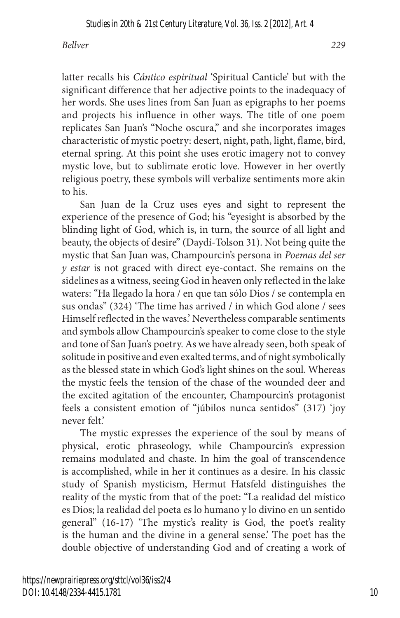latter recalls his *Cántico espiritual* 'Spiritual Canticle' but with the significant difference that her adjective points to the inadequacy of her words. She uses lines from San Juan as epigraphs to her poems and projects his influence in other ways. The title of one poem replicates San Juan's "Noche oscura," and she incorporates images characteristic of mystic poetry: desert, night, path, light, flame, bird, eternal spring. At this point she uses erotic imagery not to convey mystic love, but to sublimate erotic love. However in her overtly religious poetry, these symbols will verbalize sentiments more akin to his.

San Juan de la Cruz uses eyes and sight to represent the experience of the presence of God; his "eyesight is absorbed by the blinding light of God, which is, in turn, the source of all light and beauty, the objects of desire" (Daydí-Tolson 31). Not being quite the mystic that San Juan was, Champourcin's persona in *Poemas del ser y estar* is not graced with direct eye-contact. She remains on the sidelines as a witness, seeing God in heaven only reflected in the lake waters: "Ha llegado la hora / en que tan sólo Dios / se contempla en sus ondas" (324) 'The time has arrived / in which God alone / sees Himself reflected in the waves.' Nevertheless comparable sentiments and symbols allow Champourcin's speaker to come close to the style and tone of San Juan's poetry. As we have already seen, both speak of solitude in positive and even exalted terms, and of night symbolically as the blessed state in which God's light shines on the soul. Whereas the mystic feels the tension of the chase of the wounded deer and the excited agitation of the encounter, Champourcin's protagonist feels a consistent emotion of "júbilos nunca sentidos" (317) 'joy never felt.'

The mystic expresses the experience of the soul by means of physical, erotic phraseology, while Champourcin's expression remains modulated and chaste. In him the goal of transcendence is accomplished, while in her it continues as a desire. In his classic study of Spanish mysticism, Hermut Hatsfeld distinguishes the reality of the mystic from that of the poet: "La realidad del místico es Dios; la realidad del poeta es lo humano y lo divino en un sentido general" (16-17) 'The mystic's reality is God, the poet's reality is the human and the divine in a general sense.' The poet has the double objective of understanding God and of creating a work of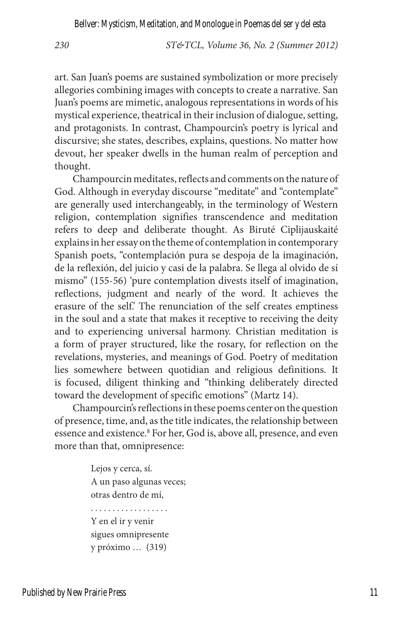Bellver: Mysticism, Meditation, and Monologue in Poemas del ser y del esta

*230 ST&TCL, Volume 36, No. 2 (Summer 2012)*

art. San Juan's poems are sustained symbolization or more precisely allegories combining images with concepts to create a narrative. San Juan's poems are mimetic, analogous representations in words of his mystical experience, theatrical in their inclusion of dialogue, setting, and protagonists. In contrast, Champourcin's poetry is lyrical and discursive; she states, describes, explains, questions. No matter how devout, her speaker dwells in the human realm of perception and thought.

Champourcin meditates, reflects and comments on the nature of God. Although in everyday discourse "meditate" and "contemplate" are generally used interchangeably, in the terminology of Western religion, contemplation signifies transcendence and meditation refers to deep and deliberate thought. As Biruté Ciplijauskaité explains in her essay on the theme of contemplation in contemporary Spanish poets, "contemplación pura se despoja de la imaginación, de la reflexión, del juicio y casi de la palabra. Se llega al olvido de sí mismo" (155-56) 'pure contemplation divests itself of imagination, reflections, judgment and nearly of the word. It achieves the erasure of the self.' The renunciation of the self creates emptiness in the soul and a state that makes it receptive to receiving the deity and to experiencing universal harmony. Christian meditation is a form of prayer structured, like the rosary, for reflection on the revelations, mysteries, and meanings of God. Poetry of meditation lies somewhere between quotidian and religious definitions. It is focused, diligent thinking and "thinking deliberately directed toward the development of specific emotions" (Martz 14).

Champourcin's reflections in these poems center on the question of presence, time, and, as the title indicates, the relationship between essence and existence.<sup>8</sup> For her, God is, above all, presence, and even more than that, omnipresence:

> Lejos y cerca, sí. A un paso algunas veces; otras dentro de mí,

Y en el ir y venir sigues omnipresente y próximo … (319)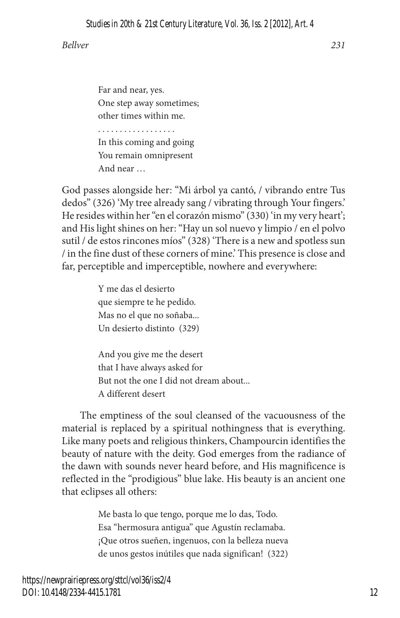Far and near, yes. One step away sometimes; other times within me.

In this coming and going You remain omnipresent And near …

God passes alongside her: "Mi árbol ya cantó, / vibrando entre Tus dedos" (326) 'My tree already sang / vibrating through Your fingers.' He resides within her "en el corazón mismo" (330) 'in my very heart'; and His light shines on her: "Hay un sol nuevo y limpio / en el polvo sutil / de estos rincones míos" (328) 'There is a new and spotless sun / in the fine dust of these corners of mine.' This presence is close and far, perceptible and imperceptible, nowhere and everywhere:

> Y me das el desierto que siempre te he pedido. Mas no el que no soñaba... Un desierto distinto (329)

And you give me the desert that I have always asked for But not the one I did not dream about... A different desert

The emptiness of the soul cleansed of the vacuousness of the material is replaced by a spiritual nothingness that is everything. Like many poets and religious thinkers, Champourcin identifies the beauty of nature with the deity. God emerges from the radiance of the dawn with sounds never heard before, and His magnificence is reflected in the "prodigious" blue lake. His beauty is an ancient one that eclipses all others:

> Me basta lo que tengo, porque me lo das, Todo. Esa "hermosura antigua" que Agustín reclamaba. ¡Que otros sueñen, ingenuos, con la belleza nueva de unos gestos inútiles que nada significan! (322)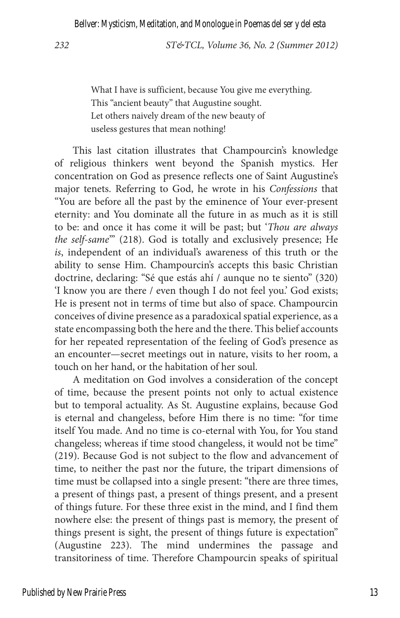What I have is sufficient, because You give me everything. This "ancient beauty" that Augustine sought. Let others naively dream of the new beauty of useless gestures that mean nothing!

This last citation illustrates that Champourcin's knowledge of religious thinkers went beyond the Spanish mystics. Her concentration on God as presence reflects one of Saint Augustine's major tenets. Referring to God, he wrote in his *Confessions* that "You are before all the past by the eminence of Your ever-present eternity: and You dominate all the future in as much as it is still to be: and once it has come it will be past; but '*Thou are always the self-same*'" (218). God is totally and exclusively presence; He *is*, independent of an individual's awareness of this truth or the ability to sense Him. Champourcin's accepts this basic Christian doctrine, declaring: "Sé que estás ahí / aunque no te siento" (320) 'I know you are there / even though I do not feel you.' God exists; He is present not in terms of time but also of space. Champourcin conceives of divine presence as a paradoxical spatial experience, as a state encompassing both the here and the there. This belief accounts for her repeated representation of the feeling of God's presence as an encounter—secret meetings out in nature, visits to her room, a touch on her hand, or the habitation of her soul.

A meditation on God involves a consideration of the concept of time, because the present points not only to actual existence but to temporal actuality. As St. Augustine explains, because God is eternal and changeless, before Him there is no time: "for time itself You made. And no time is co-eternal with You, for You stand changeless; whereas if time stood changeless, it would not be time" (219). Because God is not subject to the flow and advancement of time, to neither the past nor the future, the tripart dimensions of time must be collapsed into a single present: "there are three times, a present of things past, a present of things present, and a present of things future. For these three exist in the mind, and I find them nowhere else: the present of things past is memory, the present of things present is sight, the present of things future is expectation" (Augustine 223). The mind undermines the passage and transitoriness of time. Therefore Champourcin speaks of spiritual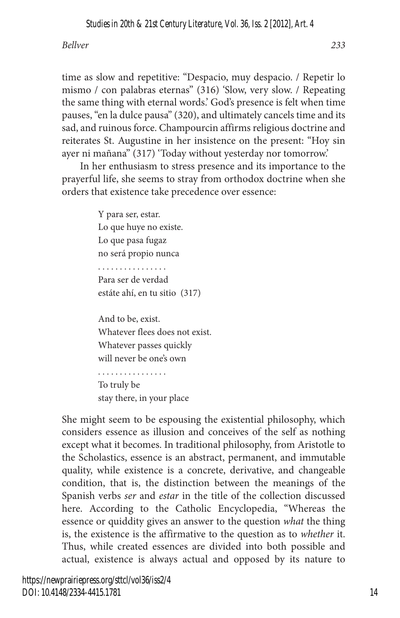time as slow and repetitive: "Despacio, muy despacio. / Repetir lo mismo / con palabras eternas" (316) 'Slow, very slow. / Repeating the same thing with eternal words.' God's presence is felt when time pauses, "en la dulce pausa" (320), and ultimately cancels time and its sad, and ruinous force. Champourcin affirms religious doctrine and reiterates St. Augustine in her insistence on the present: "Hoy sin ayer ni mañana" (317) 'Today without yesterday nor tomorrow.'

In her enthusiasm to stress presence and its importance to the prayerful life, she seems to stray from orthodox doctrine when she orders that existence take precedence over essence:

> Y para ser, estar. Lo que huye no existe. Lo que pasa fugaz no será propio nunca . . . . . . . . . . . . . . . . Para ser de verdad estáte ahí, en tu sitio (317)

And to be, exist. Whatever flees does not exist. Whatever passes quickly will never be one's own

. . . . . . . . . . . . . . . . To truly be stay there, in your place

She might seem to be espousing the existential philosophy, which considers essence as illusion and conceives of the self as nothing except what it becomes. In traditional philosophy, from Aristotle to the Scholastics, essence is an abstract, permanent, and immutable quality, while existence is a concrete, derivative, and changeable condition, that is, the distinction between the meanings of the Spanish verbs *ser* and *estar* in the title of the collection discussed here. According to the Catholic Encyclopedia, "Whereas the essence or quiddity gives an answer to the question *what* the thing is, the existence is the affirmative to the question as to *whether* it. Thus, while created essences are divided into both possible and actual, existence is always actual and opposed by its nature to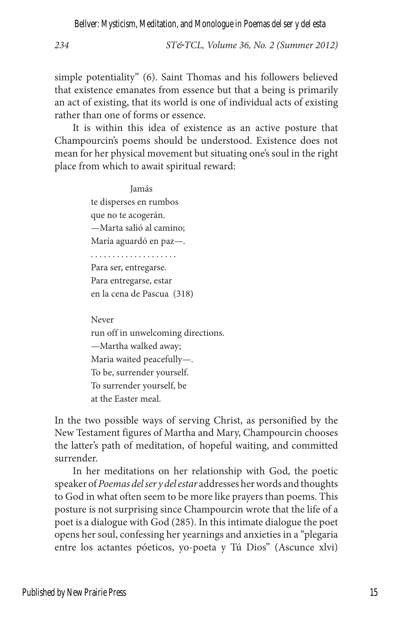simple potentiality" (6). Saint Thomas and his followers believed that existence emanates from essence but that a being is primarily an act of existing, that its world is one of individual acts of existing rather than one of forms or essence.

It is within this idea of existence as an active posture that Champourcin's poems should be understood. Existence does not mean for her physical movement but situating one's soul in the right place from which to await spiritual reward:

> Jamás te disperses en rumbos que no te acogerán. —Marta salió al camino; María aguardó en paz—. . . . . . . . . . . . . . . . . . . . . Para ser, entregarse. Para entregarse, estar

en la cena de Pascua (318)

Never

run off in unwelcoming directions. —Martha walked away; Maria waited peacefully—. To be, surrender yourself. To surrender yourself, be at the Easter meal.

In the two possible ways of serving Christ, as personified by the New Testament figures of Martha and Mary, Champourcin chooses the latter's path of meditation, of hopeful waiting, and committed surrender.

In her meditations on her relationship with God, the poetic speaker of *Poemas del ser y del estar* addresses her words and thoughts to God in what often seem to be more like prayers than poems. This posture is not surprising since Champourcin wrote that the life of a poet is a dialogue with God (285). In this intimate dialogue the poet opens her soul, confessing her yearnings and anxieties in a "plegaria entre los actantes póeticos, yo-poeta y Tú Dios" (Ascunce xlvi)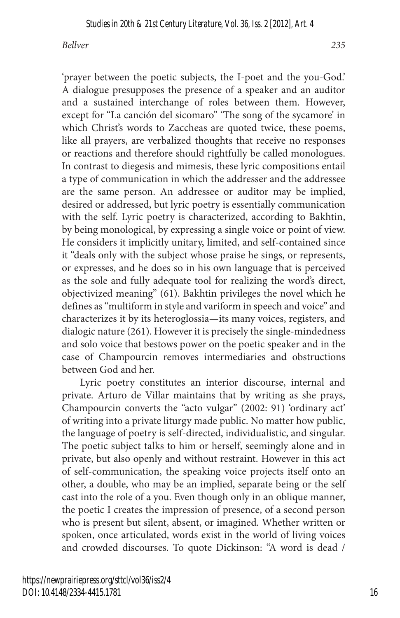'prayer between the poetic subjects, the I-poet and the you-God.' A dialogue presupposes the presence of a speaker and an auditor and a sustained interchange of roles between them. However, except for "La canción del sicomaro" 'The song of the sycamore' in which Christ's words to Zaccheas are quoted twice, these poems, like all prayers, are verbalized thoughts that receive no responses or reactions and therefore should rightfully be called monologues. In contrast to diegesis and mimesis, these lyric compositions entail a type of communication in which the addresser and the addressee are the same person. An addressee or auditor may be implied, desired or addressed, but lyric poetry is essentially communication with the self. Lyric poetry is characterized, according to Bakhtin, by being monological, by expressing a single voice or point of view. He considers it implicitly unitary, limited, and self-contained since it "deals only with the subject whose praise he sings, or represents, or expresses, and he does so in his own language that is perceived as the sole and fully adequate tool for realizing the word's direct, objectivized meaning" (61). Bakhtin privileges the novel which he defines as "multiform in style and variform in speech and voice" and characterizes it by its heteroglossia—its many voices, registers, and dialogic nature (261). However it is precisely the single-mindedness and solo voice that bestows power on the poetic speaker and in the case of Champourcin removes intermediaries and obstructions between God and her.

Lyric poetry constitutes an interior discourse, internal and private. Arturo de Villar maintains that by writing as she prays, Champourcin converts the "acto vulgar" (2002: 91) 'ordinary act' of writing into a private liturgy made public. No matter how public, the language of poetry is self-directed, individualistic, and singular. The poetic subject talks to him or herself, seemingly alone and in private, but also openly and without restraint. However in this act of self-communication, the speaking voice projects itself onto an other, a double, who may be an implied, separate being or the self cast into the role of a you. Even though only in an oblique manner, the poetic I creates the impression of presence, of a second person who is present but silent, absent, or imagined. Whether written or spoken, once articulated, words exist in the world of living voices and crowded discourses. To quote Dickinson: "A word is dead /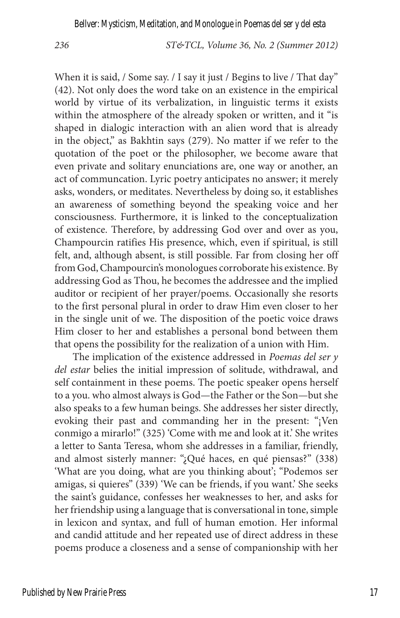Bellver: Mysticism, Meditation, and Monologue in Poemas del ser y del esta

*236 ST&TCL, Volume 36, No. 2 (Summer 2012)*

When it is said, / Some say. / I say it just / Begins to live / That day" (42). Not only does the word take on an existence in the empirical world by virtue of its verbalization, in linguistic terms it exists within the atmosphere of the already spoken or written, and it "is shaped in dialogic interaction with an alien word that is already in the object," as Bakhtin says (279). No matter if we refer to the quotation of the poet or the philosopher, we become aware that even private and solitary enunciations are, one way or another, an act of communcation. Lyric poetry anticipates no answer; it merely asks, wonders, or meditates. Nevertheless by doing so, it establishes an awareness of something beyond the speaking voice and her consciousness. Furthermore, it is linked to the conceptualization of existence. Therefore, by addressing God over and over as you, Champourcin ratifies His presence, which, even if spiritual, is still felt, and, although absent, is still possible. Far from closing her off from God, Champourcin's monologues corroborate his existence. By addressing God as Thou, he becomes the addressee and the implied auditor or recipient of her prayer/poems. Occasionally she resorts to the first personal plural in order to draw Him even closer to her in the single unit of we. The disposition of the poetic voice draws Him closer to her and establishes a personal bond between them that opens the possibility for the realization of a union with Him.

The implication of the existence addressed in *Poemas del ser y del estar* belies the initial impression of solitude, withdrawal, and self containment in these poems. The poetic speaker opens herself to a you. who almost always is God—the Father or the Son—but she also speaks to a few human beings. She addresses her sister directly, evoking their past and commanding her in the present: "¡Ven conmigo a mirarlo!" (325) 'Come with me and look at it.' She writes a letter to Santa Teresa, whom she addresses in a familiar, friendly, and almost sisterly manner: "¿Qué haces, en qué piensas?" (338) 'What are you doing, what are you thinking about'; "Podemos ser amigas, si quieres" (339) 'We can be friends, if you want.' She seeks the saint's guidance, confesses her weaknesses to her, and asks for her friendship using a language that is conversational in tone, simple in lexicon and syntax, and full of human emotion. Her informal and candid attitude and her repeated use of direct address in these poems produce a closeness and a sense of companionship with her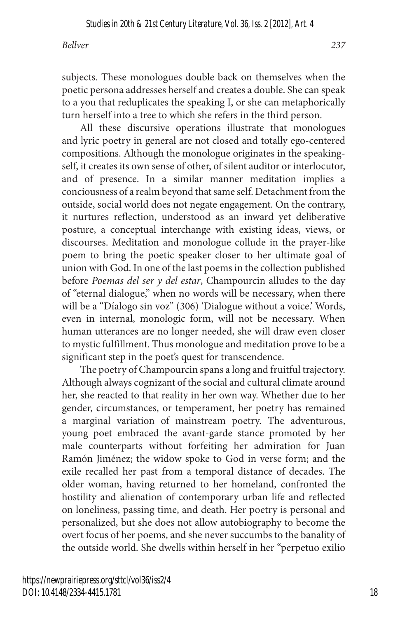subjects. These monologues double back on themselves when the poetic persona addresses herself and creates a double. She can speak to a you that reduplicates the speaking I, or she can metaphorically turn herself into a tree to which she refers in the third person.

All these discursive operations illustrate that monologues and lyric poetry in general are not closed and totally ego-centered compositions. Although the monologue originates in the speakingself, it creates its own sense of other, of silent auditor or interlocutor, and of presence. In a similar manner meditation implies a conciousness of a realm beyond that same self. Detachment from the outside, social world does not negate engagement. On the contrary, it nurtures reflection, understood as an inward yet deliberative posture, a conceptual interchange with existing ideas, views, or discourses. Meditation and monologue collude in the prayer-like poem to bring the poetic speaker closer to her ultimate goal of union with God. In one of the last poems in the collection published before *Poemas del ser y del estar*, Champourcin alludes to the day of "eternal dialogue," when no words will be necessary, when there will be a "Díalogo sin voz" (306) 'Dialogue without a voice.' Words, even in internal, monologic form, will not be necessary. When human utterances are no longer needed, she will draw even closer to mystic fulfillment. Thus monologue and meditation prove to be a significant step in the poet's quest for transcendence.

The poetry of Champourcin spans a long and fruitful trajectory. Although always cognizant of the social and cultural climate around her, she reacted to that reality in her own way. Whether due to her gender, circumstances, or temperament, her poetry has remained a marginal variation of mainstream poetry. The adventurous, young poet embraced the avant-garde stance promoted by her male counterparts without forfeiting her admiration for Juan Ramón Jiménez; the widow spoke to God in verse form; and the exile recalled her past from a temporal distance of decades. The older woman, having returned to her homeland, confronted the hostility and alienation of contemporary urban life and reflected on loneliness, passing time, and death. Her poetry is personal and personalized, but she does not allow autobiography to become the overt focus of her poems, and she never succumbs to the banality of the outside world. She dwells within herself in her "perpetuo exilio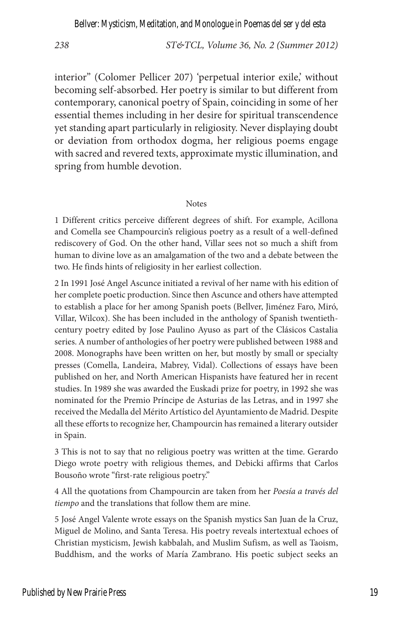interior" (Colomer Pellicer 207) 'perpetual interior exile,' without becoming self-absorbed. Her poetry is similar to but different from contemporary, canonical poetry of Spain, coinciding in some of her essential themes including in her desire for spiritual transcendence yet standing apart particularly in religiosity. Never displaying doubt or deviation from orthodox dogma, her religious poems engage with sacred and revered texts, approximate mystic illumination, and spring from humble devotion.

#### Notes

1 Different critics perceive different degrees of shift. For example, Acillona and Comella see Champourcin's religious poetry as a result of a well-defined rediscovery of God. On the other hand, Villar sees not so much a shift from human to divine love as an amalgamation of the two and a debate between the two. He finds hints of religiosity in her earliest collection.

2 In 1991 José Angel Ascunce initiated a revival of her name with his edition of her complete poetic production. Since then Ascunce and others have attempted to establish a place for her among Spanish poets (Bellver, Jiménez Faro, Miró, Villar, Wilcox). She has been included in the anthology of Spanish twentiethcentury poetry edited by Jose Paulino Ayuso as part of the Clásicos Castalia series. A number of anthologies of her poetry were published between 1988 and 2008. Monographs have been written on her, but mostly by small or specialty presses (Comella, Landeira, Mabrey, Vidal). Collections of essays have been published on her, and North American Hispanists have featured her in recent studies. In 1989 she was awarded the Euskadi prize for poetry, in 1992 she was nominated for the Premio Príncipe de Asturias de las Letras, and in 1997 she received the Medalla del Mérito Artístico del Ayuntamiento de Madrid. Despite all these efforts to recognize her, Champourcin has remained a literary outsider in Spain.

3 This is not to say that no religious poetry was written at the time. Gerardo Diego wrote poetry with religious themes, and Debicki affirms that Carlos Bousoño wrote "first-rate religious poetry."

4 All the quotations from Champourcin are taken from her *Poesía a través del tiempo* and the translations that follow them are mine.

5 José Angel Valente wrote essays on the Spanish mystics San Juan de la Cruz, Miguel de Molino, and Santa Teresa. His poetry reveals intertextual echoes of Christian mysticism, Jewish kabbalah, and Muslim Sufism, as well as Taoism, Buddhism, and the works of María Zambrano. His poetic subject seeks an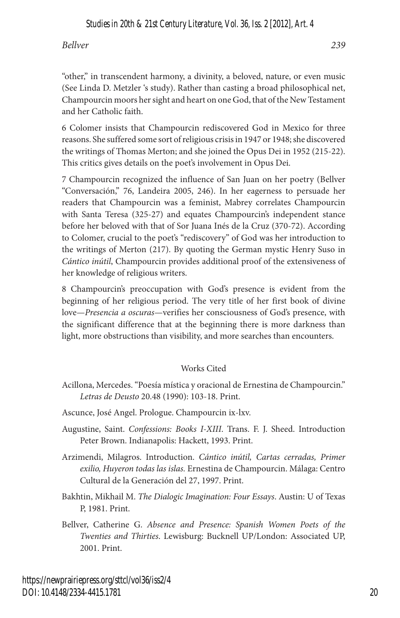"other," in transcendent harmony, a divinity, a beloved, nature, or even music (See Linda D. Metzler 's study). Rather than casting a broad philosophical net, Champourcin moors her sight and heart on one God, that of the New Testament and her Catholic faith.

6 Colomer insists that Champourcin rediscovered God in Mexico for three reasons. She suffered some sort of religious crisis in 1947 or 1948; she discovered the writings of Thomas Merton; and she joined the Opus Dei in 1952 (215-22). This critics gives details on the poet's involvement in Opus Dei.

7 Champourcin recognized the influence of San Juan on her poetry (Bellver "Conversación," 76, Landeira 2005, 246). In her eagerness to persuade her readers that Champourcin was a feminist, Mabrey correlates Champourcin with Santa Teresa (325-27) and equates Champourcin's independent stance before her beloved with that of Sor Juana Inés de la Cruz (370-72). According to Colomer, crucial to the poet's "rediscovery" of God was her introduction to the writings of Merton (217). By quoting the German mystic Henry Suso in *Cántico inútil*, Champourcin provides additional proof of the extensiveness of her knowledge of religious writers.

8 Champourcin's preoccupation with God's presence is evident from the beginning of her religious period. The very title of her first book of divine love—*Presencia a oscuras*—verifies her consciousness of God's presence, with the significant difference that at the beginning there is more darkness than light, more obstructions than visibility, and more searches than encounters.

#### Works Cited

- Acillona, Mercedes. "Poesía mística y oracional de Ernestina de Champourcin." *Letras de Deusto* 20.48 (1990): 103-18. Print.
- Ascunce, José Angel. Prologue. Champourcin ix-lxv.
- Augustine, Saint. *Confessions: Books I-XIII*. Trans. F. J. Sheed. Introduction Peter Brown. Indianapolis: Hackett, 1993. Print.
- Arzimendi, Milagros. Introduction. *Cántico inútil, Cartas cerradas, Primer exilio, Huyeron todas las islas.* Ernestina de Champourcin. Málaga: Centro Cultural de la Generación del 27, 1997. Print.
- Bakhtin, Mikhail M. *The Dialogic Imagination: Four Essays*. Austin: U of Texas P, 1981. Print.
- Bellver, Catherine G. *Absence and Presence: Spanish Women Poets of the Twenties and Thirties*. Lewisburg: Bucknell UP/London: Associated UP, 2001. Print.

https://newprairiepress.org/sttcl/vol36/iss2/4 DOI: 10.4148/2334-4415.1781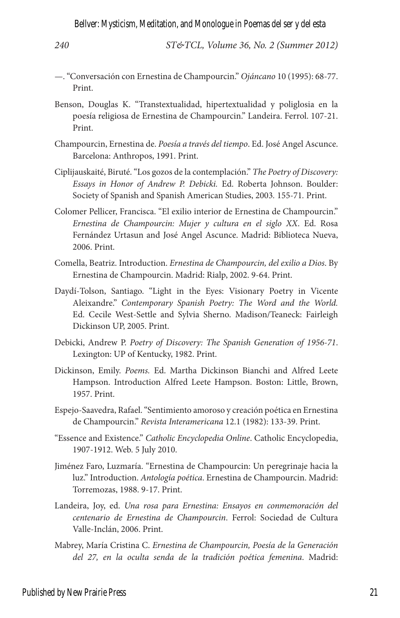Bellver: Mysticism, Meditation, and Monologue in Poemas del ser y del esta

*240 ST&TCL, Volume 36, No. 2 (Summer 2012)*

- —. "Conversación con Ernestina de Champourcin." *Ojáncano* 10 (1995): 68-77. Print.
- Benson, Douglas K. "Transtextualidad, hipertextualidad y poliglosia en la poesía religiosa de Ernestina de Champourcin." Landeira. Ferrol. 107-21. Print.
- Champourcin, Ernestina de. *Poesía a través del tiempo*. Ed. José Angel Ascunce. Barcelona: Anthropos, 1991. Print.
- Ciplijauskaité, Biruté. "Los gozos de la contemplación." *The Poetry of Discovery: Essays in Honor of Andrew P. Debicki.* Ed. Roberta Johnson. Boulder: Society of Spanish and Spanish American Studies, 2003*.* 155-71*.* Print.
- Colomer Pellicer, Francisca. "El exilio interior de Ernestina de Champourcin." *Ernestina de Champourcin: Mujer y cultura en el siglo XX*. Ed. Rosa Fernández Urtasun and José Angel Ascunce. Madrid: Biblioteca Nueva, 2006. Print.
- Comella, Beatriz. Introduction. *Ernestina de Champourcin, del exilio a Dios*. By Ernestina de Champourcin. Madrid: Rialp, 2002. 9-64. Print.
- Daydí-Tolson, Santiago. "Light in the Eyes: Visionary Poetry in Vicente Aleixandre." *Contemporary Spanish Poetry: The Word and the World.* Ed. Cecile West-Settle and Sylvia Sherno. Madison/Teaneck: Fairleigh Dickinson UP, 2005. Print.
- Debicki, Andrew P. *Poetry of Discovery: The Spanish Generation of 1956-71*. Lexington: UP of Kentucky, 1982. Print.
- Dickinson, Emily. *Poems.* Ed. Martha Dickinson Bianchi and Alfred Leete Hampson. Introduction Alfred Leete Hampson. Boston: Little, Brown, 1957. Print.
- Espejo-Saavedra, Rafael. "Sentimiento amoroso y creación poética en Ernestina de Champourcin." *Revista Interamericana* 12.1 (1982): 133-39. Print.
- "Essence and Existence." *Catholic Encyclopedia Online*. Catholic Encyclopedia, 1907-1912. Web. 5 July 2010.
- Jiménez Faro, Luzmaría. "Ernestina de Champourcin: Un peregrinaje hacia la luz." Introduction. *Antología poética*. Ernestina de Champourcin. Madrid: Torremozas, 1988. 9-17. Print.
- Landeira, Joy, ed. *Una rosa para Ernestina: Ensayos en conmemoración del centenario de Ernestina de Champourcin*. Ferrol: Sociedad de Cultura Valle-Inclán, 2006. Print.
- Mabrey, María Cristina C. *Ernestina de Champourcin, Poesía de la Generación del 27, en la oculta senda de la tradición poética femenina*. Madrid: